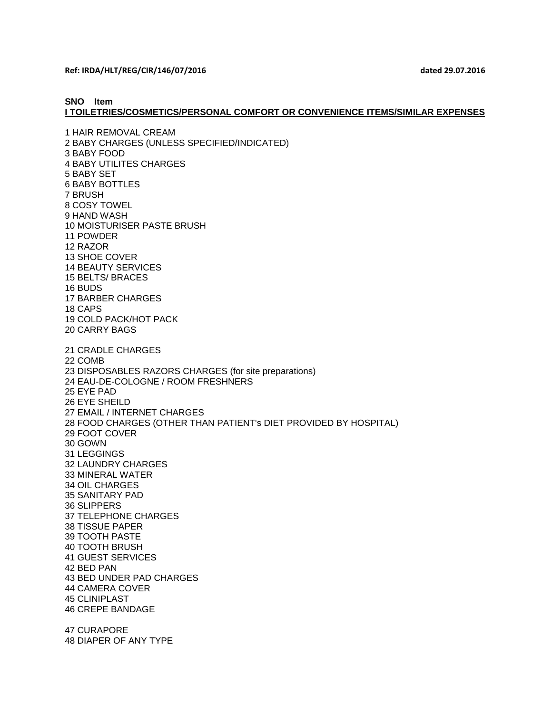**Ref: IRDA/HLT/REG/CIR/146/07/2016 dated 29.07.2016**

**SNO Item**

**I TOILETRIES/COSMETICS/PERSONAL COMFORT OR CONVENIENCE ITEMS/SIMILAR EXPENSES**

1 HAIR REMOVAL CREAM 2 BABY CHARGES (UNLESS SPECIFIED/INDICATED) 3 BABY FOOD 4 BABY UTILITES CHARGES 5 BABY SET 6 BABY BOTTLES 7 BRUSH 8 COSY TOWEL 9 HAND WASH 10 MOISTURISER PASTE BRUSH 11 POWDER 12 RAZOR 13 SHOE COVER 14 BEAUTY SERVICES 15 BELTS/ BRACES 16 BUDS 17 BARBER CHARGES 18 CAPS 19 COLD PACK/HOT PACK 20 CARRY BAGS 21 CRADLE CHARGES 22 COMB 23 DISPOSABLES RAZORS CHARGES (for site preparations) 24 EAU-DE-COLOGNE / ROOM FRESHNERS 25 EYE PAD 26 EYE SHEILD 27 EMAIL / INTERNET CHARGES 28 FOOD CHARGES (OTHER THAN PATIENT's DIET PROVIDED BY HOSPITAL) 29 FOOT COVER 30 GOWN 31 LEGGINGS 32 LAUNDRY CHARGES 33 MINERAL WATER 34 OIL CHARGES 35 SANITARY PAD 36 SLIPPERS 37 TELEPHONE CHARGES 38 TISSUE PAPER 39 TOOTH PASTE 40 TOOTH BRUSH 41 GUEST SERVICES 42 BED PAN 43 BED UNDER PAD CHARGES 44 CAMERA COVER 45 CLINIPLAST 46 CREPE BANDAGE 47 CURAPORE 48 DIAPER OF ANY TYPE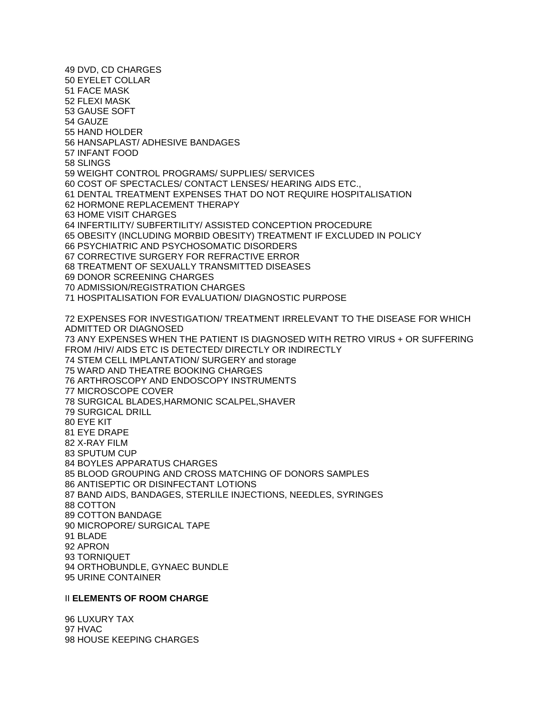49 DVD, CD CHARGES 50 EYELET COLLAR 51 FACE MASK 52 FLEXI MASK 53 GAUSE SOFT 54 GAUZE 55 HAND HOLDER 56 HANSAPLAST/ ADHESIVE BANDAGES 57 INFANT FOOD 58 SLINGS 59 WEIGHT CONTROL PROGRAMS/ SUPPLIES/ SERVICES 60 COST OF SPECTACLES/ CONTACT LENSES/ HEARING AIDS ETC., 61 DENTAL TREATMENT EXPENSES THAT DO NOT REQUIRE HOSPITALISATION 62 HORMONE REPLACEMENT THERAPY 63 HOME VISIT CHARGES 64 INFERTILITY/ SUBFERTILITY/ ASSISTED CONCEPTION PROCEDURE 65 OBESITY (INCLUDING MORBID OBESITY) TREATMENT IF EXCLUDED IN POLICY 66 PSYCHIATRIC AND PSYCHOSOMATIC DISORDERS 67 CORRECTIVE SURGERY FOR REFRACTIVE ERROR 68 TREATMENT OF SEXUALLY TRANSMITTED DISEASES 69 DONOR SCREENING CHARGES 70 ADMISSION/REGISTRATION CHARGES 71 HOSPITALISATION FOR EVALUATION/ DIAGNOSTIC PURPOSE 72 EXPENSES FOR INVESTIGATION/ TREATMENT IRRELEVANT TO THE DISEASE FOR WHICH ADMITTED OR DIAGNOSED 73 ANY EXPENSES WHEN THE PATIENT IS DIAGNOSED WITH RETRO VIRUS + OR SUFFERING FROM /HIV/ AIDS ETC IS DETECTED/ DIRECTLY OR INDIRECTLY 74 STEM CELL IMPLANTATION/ SURGERY and storage 75 WARD AND THEATRE BOOKING CHARGES 76 ARTHROSCOPY AND ENDOSCOPY INSTRUMENTS 77 MICROSCOPE COVER 78 SURGICAL BLADES,HARMONIC SCALPEL,SHAVER 79 SURGICAL DRILL 80 EYE KIT 81 EYE DRAPE 82 X-RAY FILM 83 SPUTUM CUP 84 BOYLES APPARATUS CHARGES 85 BLOOD GROUPING AND CROSS MATCHING OF DONORS SAMPLES 86 ANTISEPTIC OR DISINFECTANT LOTIONS 87 BAND AIDS, BANDAGES, STERLILE INJECTIONS, NEEDLES, SYRINGES 88 COTTON 89 COTTON BANDAGE 90 MICROPORE/ SURGICAL TAPE 91 BLADE 92 APRON 93 TORNIQUET 94 ORTHOBUNDLE, GYNAEC BUNDLE 95 URINE CONTAINER

### II **ELEMENTS OF ROOM CHARGE**

96 LUXURY TAX 97 HVAC 98 HOUSE KEEPING CHARGES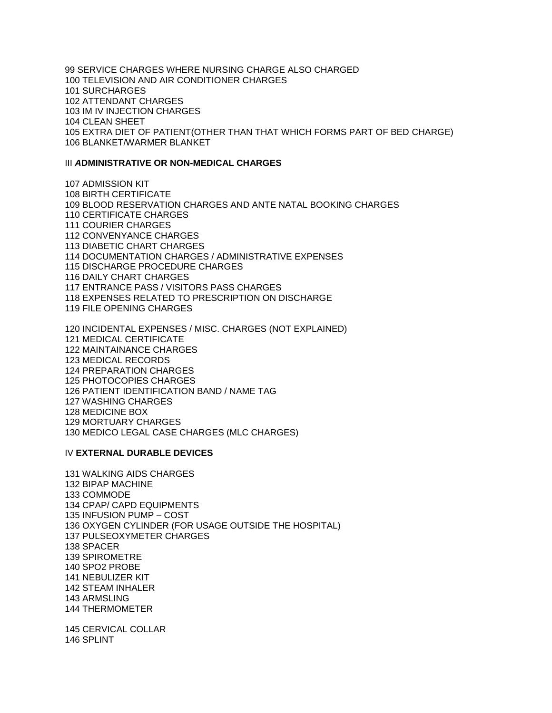99 SERVICE CHARGES WHERE NURSING CHARGE ALSO CHARGED 100 TELEVISION AND AIR CONDITIONER CHARGES 101 SURCHARGES 102 ATTENDANT CHARGES 103 IM IV INJECTION CHARGES 104 CLEAN SHEET 105 EXTRA DIET OF PATIENT(OTHER THAN THAT WHICH FORMS PART OF BED CHARGE) 106 BLANKET/WARMER BLANKET

## III *A***DMINISTRATIVE OR NON-MEDICAL CHARGES**

107 ADMISSION KIT 108 BIRTH CERTIFICATE 109 BLOOD RESERVATION CHARGES AND ANTE NATAL BOOKING CHARGES 110 CERTIFICATE CHARGES 111 COURIER CHARGES 112 CONVENYANCE CHARGES 113 DIABETIC CHART CHARGES 114 DOCUMENTATION CHARGES / ADMINISTRATIVE EXPENSES 115 DISCHARGE PROCEDURE CHARGES 116 DAILY CHART CHARGES 117 ENTRANCE PASS / VISITORS PASS CHARGES 118 EXPENSES RELATED TO PRESCRIPTION ON DISCHARGE 119 FILE OPENING CHARGES

120 INCIDENTAL EXPENSES / MISC. CHARGES (NOT EXPLAINED) 121 MEDICAL CERTIFICATE 122 MAINTAINANCE CHARGES 123 MEDICAL RECORDS 124 PREPARATION CHARGES 125 PHOTOCOPIES CHARGES 126 PATIENT IDENTIFICATION BAND / NAME TAG 127 WASHING CHARGES 128 MEDICINE BOX 129 MORTUARY CHARGES 130 MEDICO LEGAL CASE CHARGES (MLC CHARGES)

#### IV **EXTERNAL DURABLE DEVICES**

131 WALKING AIDS CHARGES 132 BIPAP MACHINE 133 COMMODE 134 CPAP/ CAPD EQUIPMENTS 135 INFUSION PUMP – COST 136 OXYGEN CYLINDER (FOR USAGE OUTSIDE THE HOSPITAL) 137 PULSEOXYMETER CHARGES 138 SPACER 139 SPIROMETRE 140 SPO2 PROBE 141 NEBULIZER KIT 142 STEAM INHALER 143 ARMSLING 144 THERMOMETER

145 CERVICAL COLLAR 146 SPLINT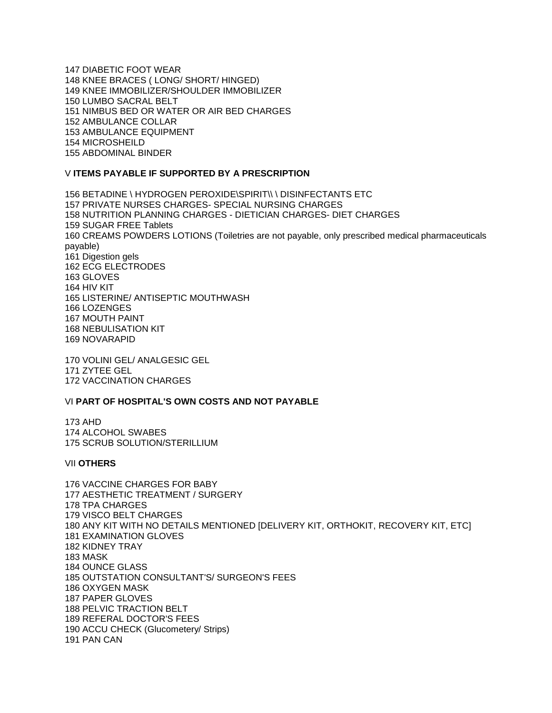147 DIABETIC FOOT WEAR 148 KNEE BRACES ( LONG/ SHORT/ HINGED) 149 KNEE IMMOBILIZER/SHOULDER IMMOBILIZER 150 LUMBO SACRAL BELT 151 NIMBUS BED OR WATER OR AIR BED CHARGES 152 AMBULANCE COLLAR 153 AMBULANCE EQUIPMENT 154 MICROSHEILD 155 ABDOMINAL BINDER

# V **ITEMS PAYABLE IF SUPPORTED BY A PRESCRIPTION**

156 BETADINE \ HYDROGEN PEROXIDE\SPIRIT\\ \ DISINFECTANTS ETC 157 PRIVATE NURSES CHARGES- SPECIAL NURSING CHARGES 158 NUTRITION PLANNING CHARGES - DIETICIAN CHARGES- DIET CHARGES 159 SUGAR FREE Tablets 160 CREAMS POWDERS LOTIONS (Toiletries are not payable, only prescribed medical pharmaceuticals payable) 161 Digestion gels 162 ECG ELECTRODES 163 GLOVES 164 HIV KIT 165 LISTERINE/ ANTISEPTIC MOUTHWASH 166 LOZENGES 167 MOUTH PAINT 168 NEBULISATION KIT 169 NOVARAPID

170 VOLINI GEL/ ANALGESIC GEL 171 ZYTEE GEL 172 VACCINATION CHARGES

# VI **PART OF HOSPITAL'S OWN COSTS AND NOT PAYABLE**

173 AHD 174 ALCOHOL SWABES 175 SCRUB SOLUTION/STERILLIUM

# VII **OTHERS**

176 VACCINE CHARGES FOR BABY 177 AESTHETIC TREATMENT / SURGERY 178 TPA CHARGES 179 VISCO BELT CHARGES 180 ANY KIT WITH NO DETAILS MENTIONED [DELIVERY KIT, ORTHOKIT, RECOVERY KIT, ETC] 181 EXAMINATION GLOVES 182 KIDNEY TRAY 183 MASK 184 OUNCE GLASS 185 OUTSTATION CONSULTANT'S/ SURGEON'S FEES 186 OXYGEN MASK 187 PAPER GLOVES 188 PELVIC TRACTION BELT 189 REFERAL DOCTOR'S FEES 190 ACCU CHECK (Glucometery/ Strips) 191 PAN CAN